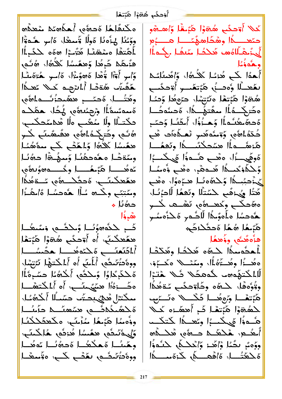مكْتِقَاهُا هُدْهُم أَهْلُهِ مُدْهَدِهِ ووِّيُنًا لِمَزَّهِ لَا دَولًا وَّحْمِعْدًا، وَأَمِرٍ حَمَّدَوْٓا أَهَّتفَا مِنْعَفْسًا هَتَّتِ الْمَوَّهِ لَكَجِلًا فَئِيكُمْ خَرِهُا وَهِمَّسُا كَلاُهُا، هُنَّمَى وَّامِي أَوْلًا وُقْعًا هَيْهُوْشًا، هَامِي هُرْهَنْمُكُونَا هَقَيْن هَةَشَا ٱلْمَرْجِدِ كَحِلا كَعَـدًا وهُتُسا، هُجِمْسِ هِهُبْجُزُسُواهُو هُمومٌموٌ)ُّا ورْجِمُلاڤُو رُكُلْ هِكَلْتُ دكْتِبْلَا وِلًا مُعَّمَى وَلًا مُدَمَّدَكْمَى: ھُنُم، وِحُتِيْكُمُلُمُّهُ، هِفُىھُمنَّے كُــُر ھىَسَىٰل كَلَّاهُا وَالْمَكَّے كَے سَوَّھُنَّا ومَّةَضَّا مَعْقَدِهُنَّا وَسَهُتَةًا حَدَّنَا مُوهُـــا هَٰٓبُـمُـــا وِكُـــوهُوۡتِهُوۡ همُعكّسٌبِ، هُحثُكْـــوهُ ۖ تَـــةهُدُا ومَبْتِبٌ وكْـه سُأَا هُدَهَسًا ةَاحَدُّا \* ပိစ်ခ هُمرؤُل كَبِ لِلدُّەوُنُـا وُلِلثُــهِ، وَسُمَعُــا همُعكِمَبُ: أَه أَوْحِكُمٍ هُـرَةَوْا هَبَّتَهَا أَائْتَمَنَّـــ هَكَدَهُـــا هَشَنْـــا ووهُدُ تَسْحُمِي أَلَمْتَى أَه أَلمَدْتَهْا تَرُتبْتُا. هَكْكَرِكَاوُا وُحْجُمٍ أَكْرَهُمْا حِمْرِهْأَا هَ أَمَّ اللَّهُ مِنْ الْمَحْسَنِ مِنْ الْمَكْتَهُ ا مكْتِرْل مْحَكّْ لِلْمَمْهِ حَمْمِكُمْ أَكْثَرُهُمْا. ەَ كەشىكەشىم، ھىسمىتىكە جامئىل وِوْهِمَا هَبُمُا مُآمَّبٍ مِكْعِفَكِكْتُا وَّلِيهَ تَسْتَمِ هُءَتَمَ السُّفَ هَدَيْمِ الْمَسَ وهَينُا هَمْكُمُا هَدهُنُا مَهْدا ووةَتْتَنْدَّے لَّكُمْ لَّكُمْ وَقَسِيْدًا

كْمِلًا أَوْحِكُمِ هُـقَوْا هَزَمةُ وَاهِـقُو حنعسلما وهْجُاهِمْمَسْسا هسوُم أَمْرَبُوا الْمُعَامَّةَ مَعَامَلَةً مِنْ الْمَحْمَدَ وهُوْذُكْر أَهْدًا لَكَم هُذِيًا لَكُنُوا. وَٱهْدِيَاتُهَ بِمُعَــلًا وُوَصــُنُ هُزُتِمُـــوٍ أُوْصِدُــعِ هُجَوْا هَبْتِهَا وَتَرْتَبْنَا. حَرْوَهُا وَحِسَا هضَكُمُ أَلَا مِعْتَهُمْ وَا وَحِسْوَدُ ا هُدهٌ هُنُداً وَحدُوْاً، أَمَثَنَا وَحِبّ كُنّْهُا، وَوَمْ تُمْ مُحْسِنٍ لَعَظَّمَاهَ صَلَّى هُوفَي أَن ه هُب هُـه وُ لَمَيكُمِـرُا وَحْكُوْكُمِكُمْ هُـوهُرٍ. وقْبَ وْوَمْحَا حْدَّدِيُمِكُمَّا وَحْدَهُ مِنَّا هِجَ مَوَّا. وَهْبَ هَٰتُا هِيُ;فَمِ لِمُمْتِلًا وِنُعِمًا لَاحِبُنُـا. ەئەكىم وڭىيسىئە ئىقمىگىر َ هُدَمَنُا مَأْدَوُنَكُا لَأَضُورِ كَكَنُّومُنِنِ هُبُمُا هُمُا هُدْلَتَ» فؤُهقُتُم وؤُهمًا أهدُّه ممارًا لحدة ه هُلاَمُ اللَّهُ وَهُنَّكُمْ ا ٥هُدَٰۥٗا وهُدَ ٞۥٛۙهُ أَا. ومَمْنَـــلا ٥كَـــَ وْ. لَّالمُحْتَمُوهِ حُدْهَكَلا شَكَلَ هُتَمْ! وَتُؤْهِفًا. كَنَّهُمْ وَكَارْفِكْبٍ مُّةِهُدًا هُبْتِهْــا وُهِ وُسْــا كُكْــــلا وَيُـــوِّمِب لمَعْدَوْا هَبِّتِهْا ثُمِّ أَهِمْمَ: كَلَّا هُدهُ فَيَحْسَبُوا وَحَصَـٰهُا كَتَكَــد أَمِعُكِمْ: هُكْفَكُمْ حَسِيرُه، هُكَـــُمُرُه ووِّديّ بِحَيْا وْاهْدِ وْايْحِكْمْ جَلِيْدَوْا ەَكْمَحْتُــا، ەُاقْھـــمْ، كَزەْمــــمُّا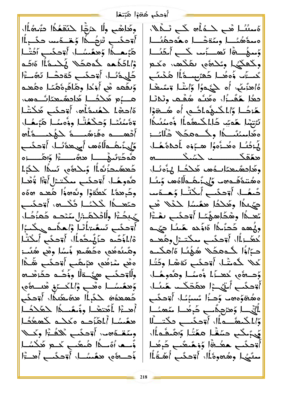أُوْحِكُم هُوْوْا هُرُتْهَا

وِهَٰاهُبِ وِلًا حَرُجًا كَنَقْعُدًا حَبَّدَهُ أَا. أُوْحِكُبِ تَرَجُـــدًا وُحَـــدَمس حدَّـــزاًا هَّزُ هَــدًّا وَحَمَّـسُــا أَوْحَكَبِ أَثْتَــا وْالْمَكْلُمُ لَكُوهِكُلا يُكْسَوْلُمْ وَاضُو كَلِيهُ ُـٰـا. أَوْحِكْبٍ كَةِحِضًا نَهُ ــَبْرَا وُبِفَعِم هُم أَوْكُلُ وِهَٰاِفُوهُ مَّمَّا وَهُعَـٰهِ هےُم هُكْشًا هُاههُ هُنَاتٌ همهِ . ة/حشاء للمُسوَّأَةِ، أَوْحِكَبٍ هَكْشَا وْدّْمُمُبْسًا وْحِكْمُتْبَا وِوْْدِمُسَا هَرّْمُهَا. أَفْعَصَــد هَ فَزْهُمــدةُ ۖ كَمُكْمَــدةُ أَرْه بِسَمَّدَةٌ وَاسْتَمْتَصِرِهِمْ لِمَاهُ الْمَسْتَمَارَةِ مِنْ الْمَسْتَمَارَةِ مِنْ الْمَسْتَمَارَةِ كَعفَمحزُنَه أَا وُحِدْهُ مِنْ سَمَّا حَكَّدًا هُدوهُـا، أَوْحِكُبِ مِكْتَـٰرًا أَوْأَا وُهْـا وجِّرهؤمُ لَمَعَنَّةوْا وِيُّوهُواْ هُعْدُ 200 حَكِمِــداً كَلَّـئَــا ثَكْــــره كَأَوْحِكَمَـــح جُبِحُـٰٓۃٗا وِلُاکْـٰکَـٰٓءٗرُل مَّـْتَحَـٰہ ۖ کَعزُکَـٰا ٖ أَوْحِكْبِ تَسْقَنَةُ لَـٰٓا وَٱلْعَذَّمَةِ لِكَتَّبَةٍ ۚ إِ هُ/اؤَكَىه حزَٰهُبحُه أَا، أَوْحكَبِ أَبكْتُـا وهُىنُەھُە ەڭھُىم ذُنىُنا وھْع ھُنَىــٰ; وهُم سْرَهُومٍ همْ يصَّبِ أَوْحِكَبِ هَٰجُلًا ولَّاوْدِكَبٍ هِيَّ—ةِلَّا وِذُكُــهِ حَدَّرْهُـــهِ وُهمُسُا هِ مُو وُالْمُسْرَىٰ هُنْسُوهُ وَالْمُسْتَمَرِّ خُمعدُه حَدَّبُ المَحَمَّدَةَ أَوْحَكَب أْهِتْزَا لِمُعْتِهْدا وِذُهُمِكْا كَفَحْفُدا همَّسُل ٱلمَّزَّحـــو وكَلاَــو لِلْـهِعْجُــل ومَعْصَمُهم، أَوْحِكْبٍ يُلاَقُــَٰٓزَا وَكَـــلا ذُّبُّ أَدُّنَّكُمْ هُبِعًنَّے كُنَّظ هُكْسُنَا وَّحَدِهُم، همَّسُدا، أَوْحَكَبٍ أَهْشَا

ەَمىنُا ھَے حَــهُ أَنْ كَـــو نَــهُلاً: وموهُهُمُـــا ومَّة دْـــا وهُوجِهُنُــا وَسِمْ أَنَّهُ لَهِ أَسْرَبِ لَكَنِّ أَيْضًا وكمحكها ومُكتفى بعُكْيه. وكم كُمْتُون وُدْفُسَا خَعْرُمِهْنَدْأَا هُكْمَنَى هُاهِنَّتِ، أَه كَيْجُوا وَاسْلَا وَسُعْدَا حعُد هَقَسزُا، وهَبْدُ هُفْحِ ونَدْنَا هَٰٓزِحُكُمْ وَٱلۡكُمِيَّةِ احْسَى ۚ أَهٖ هُـــوَّوۡ ۖ ا لَّبَتِهْا هُوَيْبِ كَالْمُكْتَبَعُوماً وَوَمِئْتُمَا وهُلمِمُنُسْــدًا وحُسوهكُمْ دْلَاسْـز لَمَ ْ تُسُلُّ مِعْنُومٍ الْعَصَرُوْهِ ۖ لَمُحَدَّدُ مُصَلًّا ﴾ هُدَّكٌ مُسْتَكَمَّ هُمَّةٌ وهَادهُمعمّاتهُها هَكْشًا لِمَزُّه لُها: كُنفُا، أَوْحَكُبَ أَنكُتْنَا وَجَسَدَت حِيْمِدًا وهَٰذِهَا هِمَّسُا جَنَّلا هُمِ كعكال وهُكَاهِهَمَّـا أَوْحِكُبِ بِهْـَةُا وِيُهه كَحَزُماً وَاوَّده هَملًا حَيْث حُعَّــزِيًّا. أَوْحِكَب مِكْتَــْرَلْوِهُعَــه حمّ{وَّا كُـ20كَــا هَجُنًـا هَ/عَكْسه كَلا كُمنْتَا، أَوْحِكُبِ تَقْشَا وِكْتُا وُحِدةَهِ، يُحِدِّمُ ذُهِبُما وِهُومُا. أَوْحِكْبٍ أَمِنْ ۖ إِلَى الْمَحْكَمِينَ هَيْسًا. وهُ تَوَوَّدُهُ وَحِذًا مُسْئِسًا. أَوْحَكُب لْمَيْنَ الْمُعْمَلِينَ وَالْمَسْمَدِينَ مَعْمَدًا وُالمُكْتَفَّـــة أَلَّا، أَوْحَكَّــــــه صَكْتَــــلَّا يُجَبِّبُ حِمْقًا هِمَّتًا وَاهَبِڤُواْلِ أُوْصِكُبِ هِعُصَرْةَ وَوَهُبِعَيْبِ ضَرِمُحَا مِعِنْبِيْ) وهُدوهُ أَلْنَ أَوْحِكْبٍ أَهْضَا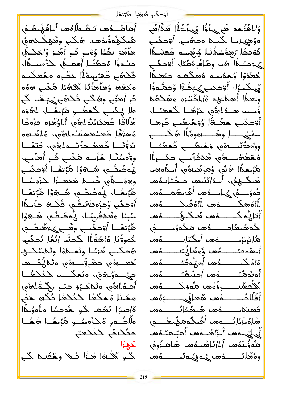أوحكُم هُوْوْا هُرَّتْهَا

أُهاهُـــهُمه نُنهُــهلَّاهُمه أَناهُمُنهُــهُ، صَّكْهُهُ وُمُهم، ﴿ كُمْعٍ وِثْنَغِكْمُ وَهُ وَ هِدَهَٰذٍ بِشَيْا وَةَسِ ضَرِ أُهَٰذٍ وَٱلْمَحْسَمَٰلِ دئوؤًا وُدِهَّتُ أَقْمَى لَمْ وَمِيمًا. ثَلِّهُم خَعْبُهِمْلَا حَضَرِه معْعَكْمُـه وكْتْخُمْ وُهْدُهْدُنَا كْلَاهُمَا هُنْسٍ 300 كَمْ أَهْنَهِمْ وَهُكُمْ شَكْرُهُمْ يَجْمَعُكُمْ لَكُمْ ەلْل كِكْسى كْھعْسىر هَبَّىھُسا. لماھَوْە هَٰلَاتُا حَمْدَٰائِنُمَاهُم ٱلْمَوْهَٰذِه حَزُّه صَٰلَ كَهِتُوْمَا خَهِمَهِهِمِيلَيْهِ الْمُورِ . كَالْهُجِرِهِ بُوتُوْنَـــا حَمْهُمحزُنَــواهُو، وَتمْـــا وَوْْهِيْشَا هَٰٓزُمِيهِ هَٰلِمَبِي ضَرِ أُهْزُمِي. لمُوَحَّدَے هُــوَوْا هَزَتِهَــا أَوْحِكَب وَهِ مَسْلَمَهِ ضَبْطٍ هُدِهِ أَلْمَدْ الْمُؤْمِنُ الْمُحَمَّدِ هَزَمهُا وَهُدَمَـٰمٍ هُــوَهِۚ الْمَرْتَهُــا أُوْحِكُم وُحِرُّهَ صُّلُحُم ۚ هُكُـ ۞ حزَّمــداً ا مُبِمُا وَهُدْفَرِهَا. لِمُوَكَّمَةٍ هُـ-ثَوْرًا هَبُتفْسا أُوْحِكُبِ وِهْبِي حَسْفَتَهِمْ هُوووُلْا هُ/هَٰقُلًا ۖ كَحْتُبْ إِنَّهُا نُحكَبْ؛ هُحكْبٍ هُزْسًا وِنْعِيدْهَا وِنْدْمَكْنِي كمكرّمَكُمْ وهُبَوَّ مُسْتَدَمَّةً مِنْ مَسْتَدَمَّةً حَيْدِهِ مَوْمِثَةَ وْ، وَنُعَكّْسِيهِ لِلْمُلَاهُ ا أصفاه وه من المستحدة المستخدم مَمَّىنًا هَـعَـكَـهَا لِـنَـكَـكَـا تَـكُـه ـعَثَـهِ كَاتِسِبُوْا تَنْقُفْ لَكُو هُوَيْشَا وَلَمْوَيْتُمَا ەللۇئىمى ئەلمئۇمىسىر ھۇيغىل شېھىل حثُداكُ لِدُلْعِبُ حْدُرُ ا كْبِ ݣْلُمُا مُحْزَا شَلَّا وهَتْنَا لَمْ يَحْمَدُ

وَمَالَمَةَ الْمَنْدَىٰ أَوْلَى مِهْ عَمْنَكْلاً؟ هؤهي اسًا للمله محاشب أوحنَب كَةدَهَا رَهِمْتِدُانَا وَرِهَيْتُ كَمِنْتُوا كَ حِبُماً هُ وهَاهُوهَ هَمَّا. أَوْحِكَب كُعثَّةوْا وُهِفْسِه هُمْكُهِمْ حَنْعَدْاً فَيَحْبُرُا، أَوْحَكَبَ جَبِحُبْزَا وَحَعْدَوْا وتعداً أهمَّتهم ةالمَسْنو وشَكْمَه وَّىسىي ھەمگەل ھۆكىدا كەھكىل أَوْحِكُبِ هِعُــَاةَا وُوْهُـعَـُبِ حَرِمُــا مسَّنُي الْمُعَامِّينَ الْمَكْسَبِ وؤەد ُ تَسەۋە ، مُمعَنىك كَمعَنْك ەڭ ھەدەئە ئەلى ئۇيۇسى كېسىرلا هُبُعِماً هُنُو وُهِ مُحَمِّدةً لِمَحْمَدةً مَّىكْتْمِهُ، أَيْمَانْتُيْمَة شَجَّىَاتْ مُقَ تمشــــمهْ:هَأَ تمشـــالِيِّ رِمْـــهُمْــــهُ لَهُ مَكْــــــــــهُ مَا أَاهُ قَــدْـــــــهُ مَــ أَنَالِمُه كُـــــــهُم، مُسَكَّسِمٌـــــــهُم، گەشىكاد \_\_\_ ەُھە ھگەۇ \_\_\_\_ ەُ هَالرَّمَ ــــــــهُ هـ، أَيكُمَّاتـــــــهُ هـ، أَحدُه دئــــــــهُمه وُه هَالْمُكْتَـــــــهُمه ـْمَاهُكْـــــــــدُّەمُّا مَامْـــــــــــــهُ أُهِ ثُمَّ مُسْطَعِهِ أُحِبُّمُ مَنْ لَهُ مِنْ الْمَسْرِ كلُحهَ يستروُّهُ هو مُهوَ كَسْتَ هُهو أَفَلَامٌ ــــــــهُ هــ هُعدانٌ ــــــــرُهُ هــ ئەملاً، مەممەن ئەمئىگە ئار هْلِهُ يُزْيَارُـــــوها أُقُبِكُومِهُبِعِيَّـــو، لمضمّنه أحصفه المُذَاقَ مصفى الم هُوزُمِنُوها أَلْمُلْهُمِهُ هَاهِ زُوهُ دھەئىسىسىنە ھەش ھەڭ ئىسسىسە ئەكتەپ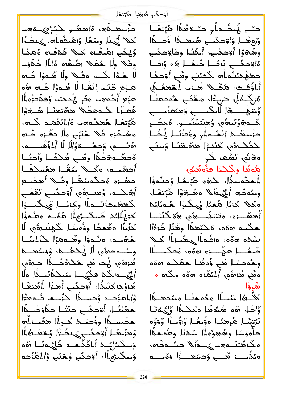د، معدله الصحف المستخدمة لَّكْلا لِّي مَا وَسَّعْلَ وَاهْتَمِعْنَاهِ الْمَرْلَ كَلَّكَ وَّلِمُّم اهُبِڤُرُه كُلا كُلْفُرُه هُعَدًا وثَلاً ولَا هُقَلا اهَمْقُلْه هَا،اْلِ حُكْفِ لًا هُــٰۃَا جُــٰـٰ، ہِتُـٰہٗ وِلًا هَٰـٰـٰہِ کَـٰـٰہ هِ مُ حَنَّبٍ إِنْقُوا لَّا هُدِهِ ۚ [ دُدِهِ هُو هزُم أَحُّەهب وكُم رُهُمْيِّب وُهِكُمْرُوَالْمُ كُمِيزًا لِكُومِكُلِّ مِشْتَعِبًا هُــقوْا هَّ تِمْا هُعِدٌ وهِ وَالْمُعْصَمِ لَكُونَ ەھَىكُزە ئُىلا ھْتَبُى ەلل ئكُـزە ئەھ رەُ ئىسىم، ۆجىھْت *ۋا*لْلا لْمَا كْمُكْتَبْتْتْ مَ هُحعَّـــــهقحُمُّا وهْــــــم هُــحَصُّـــا وَأَحسُــا أحدًى منكب مَعْسًا مِعْتَبِكَمَا حقَّـزه هُحكُمبُقْـا وضُـلا أُهمَّـع أَهْلِــهِ، وْهلِــهُمِ أَوْهِـكُبِ نَقْعُبِ لأحدهم وأوكنها وكنواط والمستور كَرْهُلَّامٌ ضَىكْمَيُّەمَّا هَٰدُمَه مِحْدَوُّا كَلَمْلَا هِ هُدهُمَا وَذُهِ مُمَا كَلِهِ لَهُ مَعْهِ لَل هَدَّهُ وَ وَ وَ وَ مَحْدِهِ وَ الْمَسْمَلِ الْمُؤْمَنِ الْمُسْمَلِ ومعٌـــه=دةٌه، لَا يُمْكِّصَـــهِ: وْوْمَعْـــــهِ هُنْ وَهُوَ مِنْ حَمْلِهُ صَبْدًا حَدَّةً و أَلْى حَمَّى الْكَمِيْطِ مَتَّى مَكْتَاهَ وَلَا ا هْرَوِّدıكْنُداْ، أَوْحِكُبِ أَهشَّا لِأَهْتِعْـا وْالْمَذْكَدُ وْحَسَـٰهُا كِنْسَعَا شُدْهَةُ! هعَمْنُـا، أَوْحِكُبِ حِنْتُـا حِكْوْضُـحُا هجَّسبكُمْل وذِّجِئِكُمْ كُبِرِيْلُ هِجَّسَـزَيْلُهِ وَهِذَهُمْ ابْنَكْمِ كَلَّكُمْ وَهُمُوا الْمُعَامَّةُ الْمُعَامَّةُ مِنْ وَسِكْمُرُابُهِ ٱلْمُذَهَبِ وَلَيْحَابُ وَهُ وَ وُسكْبرُهاًا، أَوْصِكُم وُهْنُم وْالْمَذْهو

حمّہ مُحصَّــہ اُے حمّــة هُــهُا هَٰٓئِتَهَــا وَرُهِ هُـــا وَّاوْحِكْمَـــو هُبِعْـــدًّا وَّحـــدًّا وهُـ ةوْا أُوْحِكُبِ: أَمَثُـٰا وِحَاوْحِكُب كَاوْحِكْبٍ نْرَضْلِ شُهْلِ هَءٍ وَائْطِ حَكَٰهُكُنُّه£ُ كَٰدُنَّے وَهُے أُوْحَكُـا ٱلمؤَكَّـتِ: هَشْــلا هُــزب لمُقعدهُــكَي هَٰزِيٌّــهُ)َ حَيْثًا: مِمَّضُــ مُهجموعًا وَسَوُّـــــوْا لِّاَحْسَــــــو وَمِنْعَزَّـــــو گَــەقۇنَىھُە ۆھنىشنَىـــو، ەَجحْـــو دْمُمِكْكُمْ إِنُعْسَمْلُمٍ وِهُدَٰزُسًا لَٰجُسًا لِحَثْلِ وَهُ مِنْ كَتُسْمَ الْمَحْمَدِينَ الْمُسْلَمِينَ وَسَلَبَ ەۋش ئۇھ ئى هُوهُا وِكْحْمًا فِتُوهُمُو أُهدُّه مماُل كِلاَه وَكَبْسًا وَجِنُّووُا ومعْدَدُه أَعْيَدَلَهُ دَهْدِهِ الْمَجْتَمَاءِ مَكَلًا حَمْدًا هَمَا وَلِكُمْ الْمَدَامَة أهدهُــــزهِ وَيُتنكُمْــــوةُ مِ وَقَقَدْتُــا هكْسِهِ 30ْهِ: هَكْتُعْدُا وَهُتُا جَرْهُا للمكم الْمَنْ مَالْمَدْ أَلْمَدْ أَمْرَ مَنْ الْمَحْمَدِينَ مَنْ مَسْكَمَدًا ئىمُــا منْمَـــزە «ەُه، ەْئىـــُلا وهُوصُبا هُبِ وُوهُدا هِمَكِ وَوَهُ ه هُم هُزْهُمْ إِلْمُكْرَهِ هِهُمْ وِكْلِهِ \* ۿ**؞ۏٛٳ** كْتُرْهَ مِّمْسُلَا مِنْهِ هِنْسَا مِمْعِضِدًا وَّاصُلْنَ هُمَ هُمُوهُ هُمْ مَهْدَمًا وَيُحَمَّلُونَ لَّتَبْسَا هَٰذِهُنَا هِ ذُهُا وَاقُسْلًا وَذِوَّه حاْهوممُا وهُجوَّوماً مَمْلائل وهُوههُا ه مَكْرَهُتْكُ ٥٥ لَى حَلّا حَسُّـهِ دُهِ: دَيْمُــــــز مُـــــى وُحِمّدَتْ أَردَهُــــد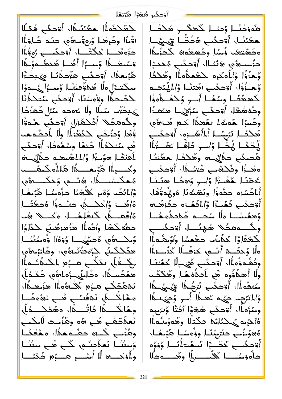أُوْحِكُم هُوْوُا هَبُتِهَا

لَكَكَدُه لَمُ الْمَعَمُنُكُمُ الْهَوَهُمِ فَخَلْلًا اقُبِرْا وِحَرِهُما وَرِهِقُوهُم وَحَمَد حُاوَلًا دَرُّه هُـــــا كَكْتُـــا، أَوْحِكُـــــى رُّهوُّلُه وَمَعْدَهُمْ أَوْحَمَهُمْ أَهْلَى هَٰذِهَ الْمُحَمَّدُوَّمُ هَبُمِينَ النَّامُحَةِ مِنْصَةً الْمُعَيِّدَةَ ممكَّتـْلِ هِلًا هُدَوُّفِيْنَـا وَمِبْزَاجِيَّـهِ وَا لِكُمحِكُل وِقُومُمْلًا: **أَوْحِكُمِ مَ**ُتَكِلُّلُالًا جُبِيحُتُفٍ مَمْثُلًا وَلَلْ عُهْدَةٍ مَمْرًا جَعَبُوجًا وِكُومِكُمْ أُثْلُكُمْرَانِ أَوْحِكُمِ هُوَوَّا وُّهْا وۡدَّىثَبِ حَـٰكَٰفَۃِۗ اُل وَلَّا دُشَہ مہ هْمِ مَّتكْمُلًا حَّتمْا ومْعُودًا: أَوْحِكُم أَهتضًا هؤَمَّا وْالْمَاهُمْعَــْ حَذَّالٍ ـِهَ وبُكسواً! هُبُعصَدًا هَا أُه كُنفُصَب ەْھكىسْمْلْ ، ھْشُمْ وْھكْسَدەْي وْٱلمَنَّفُ وَهُمِ ݣَلْاهُمُا حزُّەمْلا هَٰٓٱمْطَا ةُاهَّـــز وُٱكْــــــمُّـ حتَـــوزُا هَحقَتُـــا ةَاقْعَـْمَا كَتْقَاهُـْ أَنْ مَكْـُمَّا هُ حعَّة كُهْا وَٱثْمَاْ ا هزَهزَهُمنِّ حَذَّاوُا وُمكْدُوهِ وَحَمَيْكَــا وُوْوَاْ وَوَمَعْنُــا هكَكْتُبُ حَزُّەضُرَّىدەُّى، وحُلْتَبْدەُّى رِكْتُفَلِّى بِكَنْبِ مِنْهُمْ الْمُكْتُوَالُمْ همْكَسِيدًا. وَحَامَيْبِ وَاهُو، ضَنْحُهُمّ ثلاهُتك مؤم كُلُوهُ الله هزَّ هداً! ەھْلِتُكْمْ نْمْفَسُب شْب مُەْمَطْ وهْلِيُّكُمُّا دَّاتُكُمُّا، هِ هَتِكِكُمَّلَ لْعِكْتَـٰفَـبِ ثُنَّـبٍ ۞ه وهُنُّمــت لَلْمَكْسَبِ وهُنْمب كْـــره حقْــممكال ممْقدْلم وَسِلاُلِمْ نَعِدَّدَی کُلّے ہْے مِلاُلِ وأُوْيْبِ فَلا أُسْبِ هِبْرُهِ جَنْبْنَا

هُودُنُــا وُدئــا كُعكْــو هُكْشًـا لحَمْنُا، أَوْحَكُبَ هَٰحُتُما وَيُحِيَّا وَحَقَّتَهَا وُّسُل وِحَقِقَةَ لَّكَ زَيْدًا دَّسْتَوْمِ وَكَتَالَ أَوْحَكَبِ وَحَدَبْهِ وَحِزُوْا وْٱلْمَكْبِهِ حَكْمَهُوْاْلِ وِهَجْحَا وَهِـزُوْلَ أَوْحِكُبِ اهْتِسْلَ وْالْمُكْحَــهِ كُهِكُدًا ومُمُعًا أُسِرٍ وُكِكُمُّووُّا وحُقهُعْلَىٰ أُوْحِكُبِ مُؤَوَّىٰ لِمَعْهُمَا الْمَحْمَدُّ وحَسرُا هَومُها بِعَمِداً حُمِ هُنَّوَهُ هَٰذَهُــا تَرُبِمُــا ٱلْمُأَهَّــزِهِ. أَوْحَدُبَ لِمُحْكَّا لُمُثَّا وَّاِحِبِ دَاقْـا مَعَْــۃُاْلِ هُحِيمٌم حِمْلٌا وَهُلِكُمْ هِعَمْتُهُ ەھؗدًٰا وِئَكِشَى خْتِسُكُا، أَوْحِكَم هُقْنًا هَقُتْزَا وَٱسِرٍ وَهِجًا هِنَّىنًا ٱلمَّصِّدَه حَثَّدَوُّا وِنْعَمَّدْلَا هُوِيُّدَوُّهَا. أَوْحِكُبٍ كُعُبُّ وَٱلْمُكْرَهِ حَدَّثَهُـِ هِ وُهمُسُط ولًا سُحصه كَلاحِدُّوجُط وكــــەمكى\ ھُڄنُـــا، أَوْحـنُـــــى كْعَدّْوَا كَذّْخَب حِثْمِسُا وَأَوَّحْدَاً ولًا وَحصَّــــم أَنـَــــى كَوْصَــلَا كَذَبـــدِلَا ودُهُـه وَّه اُل أَوْحكُــع هُيّــرالٌ كَـمَّتْـلُـلِ وِلًا أَهكُفُوه هُم لَمَحِدَّةهُا وهُدّدَّت مَعْبِدُهِ أَلْمَ أَوْحِكْبٍ تُرْجُحُلُّ قَيْ جِيُحِمَّالِ وْمُلْتَرْجِهِ مِنْ الْمُسَدِّمِرْجَ سِجْنَا أَمْسِرِ ومَمْرُه أَا، أَوْحِكُمِ هُـرَةَوْا آَكُتْا وَبَرْمِـهِ كَاحِبُو حَكِمَائِكَ حَكَتْلًا وَهُووُسُوطًا ةَهُوَّمَّتِ حَتَّمِيْكَ وَوُّومُكَ هَٰٓبُمُكَّ أَوْحِكُبِ كُحِّــَةٍا تُسِعُّنَ اُنْـــا وُوْوُه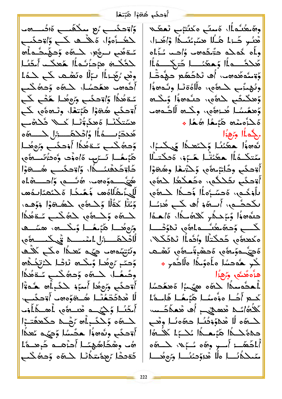وَّاوْحِكَمَـــــو مُركَّـصَّـــــو كَاثَـــــــــوم لِكَشُدُّووُا، وَلِكُسْكَ لَكُن وَاوْحِكُبَ صَّة هُبِ سِرةُمِ : ﴿ حَيْنَ وَحِهَْمِدُّواْ وَ لِحَثَكَ هُ حَزَجَزُتُما الْمَعكَبِ أَحَدُبا وهْدِ رُهْدِنَا الْبَالَا هَ تَهْلِعَتْ لَكَنِ لَكُمَاءَ أُهُووب محَمَّدَسًا. كَنْ وَجَدَّةُ كَتَبَ ضَةَهُدًا وَٱوْحِنَّبٍ وَرُوهُـا هُضْ كُلِّ أَوْحِكُمِ هُـرَةَوْا هَبَّتْهَا. وِلْـرَهَوْمِ كَلَّـعِ همّتكْنْـا هُهكْئْتُ كَــلا قُلْهْـــ هُددٌ؛ ســـهُ أَا وُامْدهَـــــــ;ُل هــــــــهَ ه وۡحدہُکۡبے ۖ عَـٰۃمَٰدُا اُوۡحَکَبِ وَہُ٥مَکَــا هَّبُعُــا نُـــرْبِ هَاهُوْد وُهِتْنُـــوْهِ كَاوْكُدْهُسُــدًا. وَٱوْحَكَــــــ هُـــــوْوْا هُنْ وَ هُ مُ مَعْ وَ الْمَسْمَحَةِ وَ لَّل ۡ مُلَّاهُ هَ ۖ وَ هُمَدُ ۖ وَ مَعَالَمَ مِنَّا لَهُ مَنْ مَعَالَمَ مَنْ سَلَّاءِ مِنْ مَنْ مَ وَّعْتُلْ كَةُلْلْ وَحْدِهُ مِنْ حَمْدَةَ وْلِ وَوَقِدٍ. لك وَكَ وَحْكُمْ وَهُمْكُمْ وَهُمْلَا وَرُهِ مُصْدَلِ هُبُمُسَلٍ وُسِكْسِدِهِ : هِمَنْسِدِ لْلْهُكْتُ زْمِلْ لْمُسْكُمْ قْيُكْمَدْوْهِ، وتُرْتبِهُه من عَلَيه عَنْهُمْ الْمَكْسِ كَلَاتُ وَحِمْمٍ رُوهُما وُحْمَدِهِ لْإِصْلَ لِمَرْتِجُـٰدُهِ وضَعُا كَــةَه وَحَدَّكَب صَـةَهُدًا أُوْحِكُم وَرُوهُا أَمِيرُو كِكُمْ أَنْ هُووْا لًا مْدْكَحْفْسًا هُـــةوَّەھ أَوْحَكُــــو. أَمَثَـٰـا وَحْيَـــه مْسـرةَى لْمَسـدَاَوْب لمَسْهُم وَلِمَنْدِمْ وَهُمْ حَكْمَقَتْدِا أُوْحِكُم وِيُوهُوْلُ هِجَيْسًا وَجَيْءٍ عَعْدًا هُب وهْجُاهُجِيًّا أُحِزْهِــو جُرِهِــوْ1 كَةدَهَا رَهِدْ تَمُلْكَ لِكُمْهِ وَحَدَّكُب

وەَحدُّدَاًا. ەَمىل ەڭئىزى ئىھك هْنُــو حَــزا هُــُلا هِمُّرِمُنَــدًا وْ}هَــزا. وأَه مُدهد حَبَّىقُوهم وُاحِب سُزَٰءًا هَكِدُوا وَحِعَمُوا خَرَجٌوا اللَّهُ وُقِيعُه هُده من أَها ثَكَلَحَهُمْ حَجَّدَتُنَا وِنُهِيَنِّبِ كُنْهُمْ، وَلَاؤَةِنْبَا وِنُوهُوَوْا وُهكُمصٌم لِمَهُورٍ، حَشُوهُواْ وُلِّكُمْ وٌهمُسُا هُـ;هُی. وِكْـهِ لَاَثُـهِ كَلْمُوْمِدُهِ هَٰبُهُمْ هُمُمْ \* بكمأا ورجأا بَهْهِذَا هُكْنُهُ وَلِمُتَعَلِّمًا وَلِيَكْمِدُوا وَلَيْكُمْ وَالْمُؤْمَّلَةِ مَتكْكُما مِكْنُلْكُمْ: هَدَى مُكْتَ أُوْحِكُم وَحَانِبُمِيهُم وَكَبْسُهْا وِهُيوَوْا أَوْحِكُم بِكَلِّكُمْ، وَجُعِكْفُا لِحَوْمَ بأَوْجُــْمٍ، هُحِمْــرَّه أَا وُحِــدًا لِحَــرَةُمِ لكَحصُّــه، أَستَه: أَه كُب مُنسًا دىئُەۋُا وُجَدِيمُ ِ كَلاھُ جُاْ، كَاھەُ هكعدةُه، حُحكُتْلًا واُثَّماًا لْمَكَّلًا : كَ حَيْنُ وَمُعَامَى وَحَقْمٍ قُسْرَةُ مِنْ مَنْ مَصْلِحَتْ لكو حدَّدسُل مأووَّىدًا ولَّاحَّدو \* فؤُهِقُدُهُ، وَرَجْزًا أهدَّه مما المرضِ من الْمُمدَّم كُمِ أَحُما هِ أُهْمُما هَبُّهُما فَاسِعًا كَلاُهُ/سُم مُعملهُم أَف مُعلَّكَـــب. √\_&ّه لُّا مْكەَوْوْتُسَا ھەھّەتُ**ا و**مْس حمعَمْدهُا هَبْعهاً حُكِبًا حُكْمُوا أَلْمَحْهُــز أُســر وهُ٥ سُــزَلا، لمــــهُ٥ مَمْحَدُّنُـــا وَلَّا مُحْرَوْحِنُنُـــا وَرُوهُــــا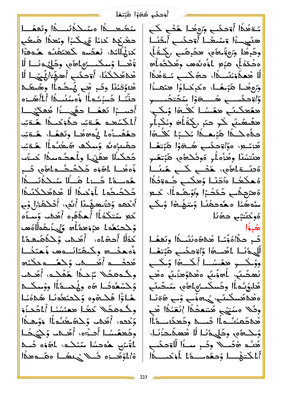مَعْدِهِ \_ اُلْمَحْدُكُمْ \_ اُلْمَ وَنَعْمُ \_ ا حثمث المعنى ابتكرة لذنذ مكركم كَزِيْبُلْلَيْهِ، ثَمِضُتُم لَكْعِيْضُتُم هُتُوفَرْا وُّهْــا وَمكْــوُهاهُم وكُلُّهفلُــا لُل هُدْكَكْنَا، أَوْحَكَب أَههَةٍ ۖ أَيْنَ اللَّهُ اللَّهُ هْدِوۡتَمُنۡا وَضَّم هُبِي ۖ لَمُحۡـُـماٗا وهُـمحَــه حتَّمًا حَسْدُ هُماْ وُ مِمْنُكُما أَلَمَّةٌ وَمِنْ مِنْ الْمُسْنَوِينَ أحسبُ المُعمُــا حقَّىــزًا هُعَدَّةٍــا أَلمَكْمَعِدِ هَـٰقِيِّبِ حِكْوَكَمِـدًا هَـٰقِيِّب حَفَّقَىــزُه لِمُّـهِ مَحْـلِ وتَعفَـلِ حَمْـة مِّـ حمَّىبرُّەنُە وَمىڭھ «ەَمەنىُدالْ هَـة يُب حُدجُمُلا مِدَّنِي الْمِدُوسِمُ الْمِيَّد وَّەمُكا لمَوْو كُلكُنْ مَاھُو كُبِّي مَهْمِدِهُا دَرِ: هُــأَلَّا مَمْلِكُمْتُمِــدُلَّا كَحْشَحُه! لَمْ مَدْأَا لَا شَدْهَٰحَكْتُدُا أَانْكَعُمْ وَكِتَّبْتُعَمِّيْتُنَا أَنَّفُى، أُكْلَكُتْزَلْ وْبِ كُمْ مَنْتَكُمُلًا أَحْذَفُرِه أَهْدَبَ وَمِسَرَه وَحْدَمُهُمْ مِنْهُ مِنْ أَنْهُمْ وَلَى نُمْعَلَّاهُ مِنْ كْمُلًا أَحِشْهَاهِ، أَمَّكُمْ وَكَلَّاهُ هُمَّا ذْهِ هِذَــ ۞ وِكْمِقْمَانُـــهِ هَا ذُهِمَّدُـــا كُنْحِفْسِيهِ أَكُنْسِيكُمْ وَلِكَنْفُسِيهِ بِذَكْتُبُهِ ولمُـهعكَلا تَبْعِـدُا هُفْعُـهِ: أَهُـمْت وُحْشَعْتُهُما هُو وِيُحْمَدُّاْ وَوْسِكْمُ هُاوَّا فَكُــهُوه وَلَكعَعْدَنَا هَٰكَاءُنَـا وكُـ2هكَـلا كَعُبَل همَّنْسُبَل أَلمَكْـزُوْ وُكْتِدِهِ، أُهَّدِمَا وَحْدَهُ هُنُّهِ أَلِّ وَوُحِداً وحَعفَسُا أَصَّرَاهِ، أَهُــدَبِ وَجَيْحُـا لمُؤْمِنٍ هُوصِمًا مَنْكُدِهِ، لِمَوْدِهِ صَُحْ 

كَـٰةِ هُٰذًا أَوْحَدٌبٍ وَرُوهُـا ۖ هُضْعٍ كُلِّعٍ هنِّي—؞ٓۤا وَمُمعْـا أَوْحكُب أَمكَنُـا وكَرِهُا وَرُوةُ هُو مِحْرِهُبِ رِجْتُهَلُ وحُدّهُمٌّ وَمُو الزُّوتُوها وِهُكُدَّةَ أَنَّهَ لًا مْعَذّْفِنْنُــدًا: دەْكْب سَـةْهَدًا وِّرِهِ هُــا هَٰٓئِـمُــا. هكْدِكْـاوُا همُكــزُا وَّاوْحِدَّمـــــــــ وَوْا مَكْتَضَـــــــو همُعكْتُبِ هِمُسُل ݣْلْـْهُ ۚ وَيَكْبُ هڤَىھُىپُ كُمْ حَمْ كِحَّةُ اُھْ وِمُكْرِ اُمْ حدُّه حَــدُا هَبُــمـدُا حُكّــزا حَكْــرَهُا هُزئِكُمْ وَوُاوْحِكُبِ هُدةَوْا هَزَّتْهُـا هتُتمُنْا وهُذَّهامٍ هُوشُكْ3ٌ، هَيُتمَسِ ەَدىئەغارەگە، ھەئىس كىلى ھىنسا هَمكْفُـا هَٰاتَـلْـا وَهكْمب حُـووَكُمُّا هُمْرَحِكُبِ حَٰتَحُـٰٓءُٳ وۡأَوۡعَـُـٰٓءَاۢٳ. كَــٰم مِنْدِهُمَا دِهُدَدِهُنَا وَمِتِيْمِ وَٱ وَمِكْمِ ەْوكىنتې دەئا هُبِوُّا كَبِ حِكْلُهُؤُمَّا شَكْلَهُ٥ضُمَّا وتَعمُّا لَّلِيهَ نُــا امُّســهُا وَٰاوَحكُـــهِ هَٰٓئِتَهْــا وؤىكسىر ھۇمئىسا أىكسىۋا ۇيكىپ ىُھجُىبُ، لُھؤَىبُ وھُكۈَھزَىبُ وھُب هَاروُبُداًا وحُسكُسرُّهاهُم مُمحُنَّب ەھْكەكسىگىك، كەھۋى ۋى ۋە ئىل وضًلا مئتهُمٍ هُتَنْعَظُمُ النُقْتُمُ الْفَج هُددَهِمُنُــولُمْ دُـــد وحُعدَ بــوْلُمْ وَمِحْدَةَى وِصَّلِيهَ ُمَا لَا مُعْمَدُحَزُمًا. هَٰنُـه هُمَّـــــلا وكَـــر مـــرًا لَّاوّحـكَــــع أَمْكَتَهُــا وَحِمُّهِــؤُمْ أَوْكُمــدًّا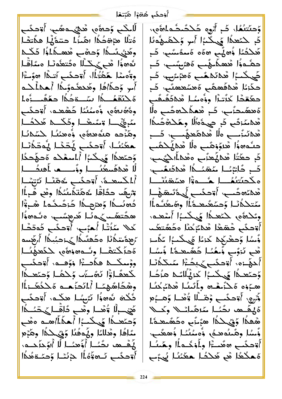لَّامِكْمِ وَحَدَّى هُدِيٍّ هِ هُمْ، أَوْحَدُ هُتِلًا همْ قَحُمًا اهْبُرُ الصَّوَّلِ الْمَعْتَدَا وهَنْيَ سُمُّا وَحِشْبٍ شَعْمَادُا كَكْم لخَّامْهِ مَا مُتَحَمَّدَ اللَّكَرِحِيمَ أَمْهِ مَثَارَةٍ وِوَّْمِمْا هَٰقُبَٰٓاًا: أَوْحِكُبِ ٱتنكْلِ 20وَّتْزَا أُسِ وَحدًاهُا ومَحدَثَدوَّماً أَحداَك هَكْنَعْصُـــدُا سَمْــــةحُدُا حمَّفَــــزُه ا وەُھُىھُە ، ئُەممُنُمُا كَـھُـعنــه، أُوْحـكَـب مَبْرِئٌ السَّمْسَاءِ وَكَكْمْ هَٰكِدُا وهّزْحه هشُعرةُ ووُ وهمُنُـا للسَّمْنُـا حَمَّنُـا، أَوْحَكُب هُٰتَـدْ ا هُٰءتَدُٰكَـا وَحِمَعِهَا وَحِكْمَ الْمَعْدَمِ وَحَكَمَ حَلَيْهِ لْلْهُ هُدْفُسِعْنُــــــل وذُــــــم لِمُقتحَـــــل ٱلمَدْسِعِــةُ، ٱوْحكَبِ هُوَنْــا تَرُتِهْــا وْرَمِفَ حَثَاقُا هُهَٰنّذُمُنُدُا وِهْدٍ فَـٰٓدِلُمْ ا دُهسُمَّا وَهرَجِــدًا دَّءَهُــدُـه ا هُــبوٰٓا كَلا مَدَٰنَتَا أُهرَٰبَ، أَوْحكَبِ كَوقَحْا ترهم أمْبْدَءُ الْمَجْمَعَةَ مِنْ الْمَحْمَدِينَ مِنْ الْمَجْمَعِينَ كَحَكّْتَهْمَا وِئَــدهوْهُ لِلكَعْوَٰنُــا ووْسكْك هكَّاصَةْ! وَوُقَدِهِ: أَوْصَفُبَ كُعفَارْا نَهُ تُو وَحِكُما وَحِنَعِكُمْ وهْكَاهُمِمْـا ٱلْمَدَّعــو هَـحْكُمْــزاُل ثَكْ۞ نُهوٰٓۥ لَّرُسُا هكْـهِۦ أَوْحكَب هَتِي أَلَمٍ وُهْدٍ وَهُدٍ وَهُدًا وَهُدَ مِنْهُمْ الْمَسْتَمَرُّا لِلْمَحْمَدِ وَحَمَّعَــمًا وَحِكْمَــمَ الْمَحْلَمُ مَعَــمَّةٌ مِنْ مَعْــمِّـمِ مَبْلَحًا وِهْلِلْنَا وِيَهْجَعُنَا وَفِيْهِكُمَا وِهَبْهِ يُرْفَــهم يحَمُــا أُؤُهنُــا لَٰا أَرْوَجِرَجَــو. أُوْحِكُبِ نُـِ۞وَّؤُهُ أَلَّا جَرْنُسًا وَحِمَّـةَهُدَالَ

وَحِنَتِنُهُا، ضَرِ أَيُوهِ ضَكَشَدَعَاهُ و. كَ كَمَعِدُا فِي كَمِرًا أَسِ وَكَصَوْهُ لَا ھُلائُنَا وُہ۞ وَہ وَہ وَہ مَمَّسَّبٍ. کَ حعَّـووُّا شُعمَـكَمِيَّـبِ هُعَيَّسَبِ. ضَـ ضَّحَمَدُ ۚ الْمُحَامَّمَــ وَاللَّهُ مِنْ مَنْ مَنْ مَنْ الْمَسَىٰ حكْنْدُا شْلاَفْھقْب ەْھىئىھىشە، كَ حعّفهْدا كَنُتـٰأا وفُومُـا شَدْكَفَىڤَب ەُھھَىدَىْبِ: ئَې شَعفَكُهنَبِ هَلَّا هُدْمَدْوَنَبِ ثَمِ حِيءُهُۥالُّا وِـهَدْهُ كَـٰدُا هُد*انُد*ُوب ملَّا هُده*ُمْهِيَمِ،* صَـــِ حنُّەھۈُا ھُدۆوھُب ەلَّا ھُھكُكھُب كَرِ حكتُل مُدارِّهِ مِنْ مِنْدَالِّكَ مِنْ مَنْ كَبِ حُاتِبُهُا مُفْشَدُا مُدَكَّسُبٍ. مكْحِنّْتْنُمُـــا هُــــەۋْا همّْهْشَــا هُمْكُمْ مِنْ أَوْحِكْبِ لَيْ هُ تُمْمَنْ أَوْسَمَهُ مِنْ الْمِسْمَةِ مِنْ الْمَسْمَةِ مِنْ الْمَسْم مُتكِلُولَا وُحِمْعُكُمْ وَأَلَا وِرَهُ حَكْشُهِ أَلَ وئكثوه والمستكرة المستدع وهوهكني أُوْحِكُبِ ضُفَعْدًا مُدْمَّزِكْنَا وَخَعَّتِعَكَ وَّسُلُ أَيْسُكُرِهُ لَدْنَةَ مُكْرَمُكُمْ وَسَنَّمَةٍ مَنْ النُسْوَ هْبِ نُزْوَّبٍ وُّىعُنُـا كَـْهُىعِـدْ} وُّسُـا أَهْكَنُمْ اشْكْبِرَحْكِمُهُ؟ أَوْحَكْمَ أَ وَحِمَعِيمًا هَيْلَهُمْ ابْسَكْرِجْ الْمَحْمَةِ هجَوْهِ هَكْنُهُـهِ وِلْمُنْسَلِ هُدْمُ كُنُـل وُّرِهِ: أَوْحِكَبٍ وْمَسْلًا وُهْسًا وُهِبُهِ كَهِفَــها بِدَّسَا مُاهَّباتَــلا وكَــلا هُعِمًا وَيُحِكُمُ هُبَنَى مَحْشَىعِدَا وُّسُل وِهُنفُعِيْ وُهِنفُنُا وُهِعَيْبٍ. أَوْحِكُبِ 3هُمْــَٰٓرَا وِلَمَوْكُــٰهِ الْا وِهَمْنُـا ەْھكەدا ھْي ھُكىدا ھەدىئا ئىجْب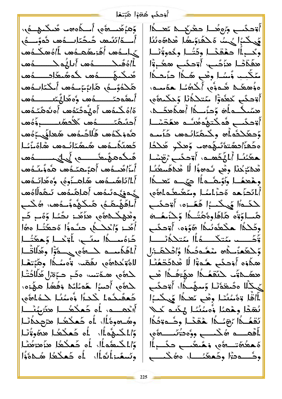ۇھۇھُمسۇەر أسىگەھە ھىكىم ئ أَسْــةَ/نَنْبَهم شَبِشَبَارِيـــهُهم شَوَوُسِــهُ، أَاهُقَيْدَ ـَــــوَهُ أَبِيلِهُمْ حَــــوَهُمْ ئىىگىئى \_\_\_ئەم گەشىئاد\_\_\_\_ئەم هَٰٓۮۿۄٞ؎ؗ؇ڡڒؘؠۜۧۥٟٚ؎۠ۿڡ۩ٞؠڴػٳٮ؋ۿڡ أَحدُّدتَــــــدُهه وُهِ هَٰذَائِمٌ تَسْـــدُهه ه مَكْمُ مَا مَكْمَمَتْ مَعْنَاهِ مَعْمَدَهُ مِنْ مَعْمَدَهُ مِنْ أحنَّمَّة \_\_\_\_\_\_ هُمبِ لَلْأَحِمَّةِ \_\_\_\_\_ وَوُهُمبِ هُوَذِكْوُهِـ وَٱلْمُهُومِـ هُعَلَمَٰى وَهُمْ وَهُمْ كْھِنْݣْسُوْهَا هُمْهُمْ الْمُصْدَابِ هُلْهُ مِثْلِ هُمْشُمْهِ مُصْبَرِ الْمِلْكَ مِنْ مَسْرِ مُحْمَدَةٌ أَخَرُاهُدےُها أَهزَ عَدَّهُها هُوَ وَيَسَوُّها أَلْمُلَاهُمسُهُها هَاهِـزُوهُ وَهَلَالُــهُها بموالم ملك موسى المستمري من أْماكَهُىكَــهُ، هُىكَـهُوَوُّـــهُـمَهُ. شُكْـب وفْهِكْــدْهُو، هزَهُــز بِحُبُــا وَهُبِ كَبِ أُهَٰذِ وَٱخْتَــٰهُ حَثَّـهُۥ أَ هُحَعَّتُـا هِ هُا كَرْهُ مِكْمًا مِثْبٍ، لَمْقَصَدَ وَحِكْتُهِ أَلْمَكْمِيهِ كَسْرَوْهِ كَسَوْرًا وَهَكْلَاشًا للأقكلاة ومصَّد قُومُكُما وهُبْتِهَا لِحْدَةُ مِنْ مَصَّتَنْبٍ وَضَرِ حَجَّةَ الْمَكْلَاحُثْتَا لِحْدَةُ مِنْ أَحْسَرُا هُوَ الْمُعَالِمُ وَهُعُمَا حَجَّزَهِ. كَعفَىنَـْما لِكْحِبَٰا وَّەمْئَـٰا لِكَمَارَةُو أَانْدَهَــــهِ : أَه ضَعَكْمُـــا هتَنِهِهُنْـــا وهُــهوهُٔاُا، لَمْ ضَعِنْـٰطَا هرُجِـداُنْـا وَالمَكْتِهَةُ أَن لَه كَعِكْتُمَا هِيهُووُّنْيَا وَ}الْكُمِعْدِماُل. لِمَا جَمِكْعُلِ مِنَوْمِتِوَمِثْلِ ويُسمُّنهُ أَنَّهُ أَلَّى الْمَاهُ هُمْ هُوَّوُ

أَوْحِدًى وَرُوهُـا حِعْرَبُـِـهِ مَعِـــدًا لْنْاهِ هْلَكْمْ لْمُسْوَّبْطْكُ هْسْرْ ابْسُكْرِيْجْ وكبرأا حفقكا وكتُا وكُووَوُّلْه مَفَذَّفْ مَزَّمَّبٍ أَوْحِكَبٍ هِمْ وَّا مَكَّبِبٍ وَّسُلًّا وقَّعِ هَــدًا حزَّمتـدًا ووُهِعَكُمْ هُدووٌ فِي أَحْدُهُ الْحَمْدِينَ أَوْحِكُم كَعِثُورًا مُتَنَكِّدُلَا وَحَكْمَةُو همّىگ ولُرق وُحزَّى هُل أهه هَ هَدًى . أَوْحِكُبٍ فُوجٌتهُومُنَـُـو هِمَّحْشَــا وُحعَكِدُه أَنْ وِكَيمَنَارُدُهمَا جَآمِدُ ەكھۇ/ھھَتەڭمُھەمە ۇھڭر ھَككا لَّمَعَّنُنَا أَلْمُكْعَمَدَ، أَوْحَكَبَ رُقِيْسًا مْحِكَبْكِنْا وهْبِ نُـهِودُا لَا هُـكفَسفُنُـا وهْعِهْــا وَرَوْمِعْــواْلِ دِيْ ــو مُعْـــدًا أَائْجَنُهُمْ هُجَزْالِمُا وِمُعَْبِعِثُمَاهُمِ لكمُحارًا وَلِكُمْدًا فَعَْدَهِ: أَوْحِكْمَ هًىــاوّةُه هَاهَاوةَهُتُــدًا وَحدَّمْــة وكُكْمًا هِكْعُدْسُمًا وَوُوْهِ: أَوْحَكُب وَّدَّـــــــــه مَّتكَـــــهُ أَل مِّتكِلُاتَــــا وَحْهَدَ ۚ ـ ٨٥ مْعُـ دَٰمَا وُاتْحَكَ زَرَل هكُوْهِ أُوْحِكُم هُـُووْۤا لَّا مْحِكَحُفْتُـا هِهَــدُوِّبِ لِلنَّفَــدُّا هِجَةُ ذُا مُبِ حْكْلًا وصَّعْدُنْهَا وَسَهَّسَلًا، أَوْصِحَّب لْمُلْقَا وَدَّمْعُنُدا وِهْمٍ مُعْدَاً يَجْمَعُوا ا سُقفًا وهُعمًا وُهمُنُمًا لِمَكْتِ كَتَلَا تقعُـدًا رَقِيُـدًا هَقَنْــا وحُـدَوْدُا أفْهَمْ هُ كُنْسَبَ وِوُّدْتُنُفْسَةُ مِ ەْھەدەتتەھى فېقىشىپ كىگىبە ودُّـــەترا وحُـمعَدُــــا وەمْكْــــــــــو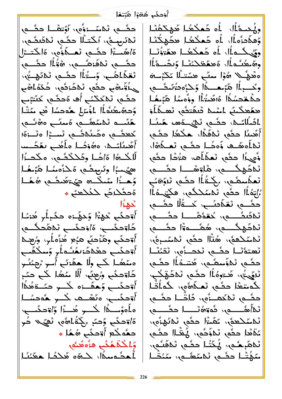وَحِكُم هُوَّوْا ř أُوْحِكُم هُوْوْا هُبُتْهَا -

 $\overline{\phantom{a}}$ .<br>هــا حدُّ ֧֦֧֢ׅ֚֚֬֝֝֬ ر<br>أ**و:**  $\int \rho$ .<br>\_\_م لَمامٌــــزؤٌ .<br>בי حڈ | : ره  $\sum_{i=1}^{n}$ ِ<br>لا .<br>ـم ثمانًا  $\sum_{i=1}^{n}$ حدُّ  $\prod_{i=1}^{n}$ .<br>تىلاً، ئو*ھى*سى كەنگ —<br>\*<br>\*  $\ddot{\bullet}$  8 6! ة )هُمسْتُزا حصُّبِي نُعسكُوْهِ وَالكتشْرَلِ  $\ddot{\phantom{0}}$ .<br>...  $\overline{\phantom{a}}$  $\frac{1}{2}$ شَـــم، شَوْأُا حثَّ .<br>ا  $\frac{1}{2}$  $\ddot{\bullet}$ ے<br>ضمن ثم  $\sum_{i=1}^{n}$ <u>مۇ</u> أَمَرْ فَسَمْ أَمْسَ o<br>:  $\frac{1}{2}$ ( G - 3 8  $\overline{\mathbf{r}}$ o<br>:  $\frac{1}{2}$  $\ddot{\phantom{0}}$ مَ أَمْتَهُ أَمْوَ : ر<br>م  $\sum_{i=1}^{n}$  $\stackrel{\ast}{\mathbf{C}}$ خ حْمَدُ رِم  $\frac{1}{2}$ سىسىسى<br>ۋىشى ھۇ بدأة  $\frac{1}{2}$  $\overline{\left\vert \leftarrow \right.}$ ֧֦֧֦֧֦֧֦֧֦֧֝֝֜֜  $\ddot{\mathbf{r}}$  $\tilde{\mathbf{u}}$ لَمْ مَحْكَبُ أَفْ هَجْشَفْ كَمُ ۔<br>ا l .<br>^ حدُ  $\widetilde{L}$ .<br>يَنْمَ هُ مَشَاهَ فَ مَمْةَ ニダミ وَحدهَ حَدُما الْمُ  $\frac{1}{2}$  $\zeta$  $\mathbb{R}^4$ .<br>لأ ن ئەن بىر<br>ئەن ئەن بەر .<br>مـــــــــــه تُــمَــمَّةُ  $\frac{2}{3}$  $\sum_{\substack{\varkappa\in\mathbb{Z}^3}}$  $\frac{1}{\sqrt{2}}$  $\stackrel{\circ}{\bullet}$ ه (م اةَ فَسَنَّمَ مَعْلَمَ مَعْدَ الْمَسْتَرَا وَلَسَنَّةَ ر<br>ملکاڈ  $\overline{\phantom{a}}$  $\overline{\phantom{a}}$ ،<br>مب نقد e<br>C , 71=, 3  & ั้∕<br>ถ  $\stackrel{\ast}{\mathbf{c}}$ بر<br>م Î ,<br>亻 لَّاحْدَهُا هَاضًا وكَحْكَشُم، مكْحَزًا o<br>: لْمُ بِمَا الْمُوَسَىٰلِ مِنْ مِنْ مِنْ<br>مِنْ الْمُوْسَىٰلِ مِنْ الْمُوْسَىٰلِ o<br>A י<br><u>^</u> ههُمهُ! ونُرمِدُ الــه ڨ رفــ  $\frac{2}{\sqrt{2}}$  $\sum_{n=1}^{\infty}$ ے حْمَدُ الْمَمْكَسَةِ الْمَسْكَمْ o<br>! .<br>ةَحثَكْرَكَ لِكُلْعَبَّ \* گ<mark>ئ;</mark>ا  $\frac{1}{2}$ ۔;ہ حخّبِلُرٖ مُٰذِسًا e<br>C  $\hat{\mathbf{I}}$ .<br>ب كُنْ أَبُوتُوا وَجِي  $\tilde{\mathbf{z}}$ ۊحۮٞ  $\check{\check{\jmath}}$ Î  $\overrightarrow{3}$ كَاوْحِكْسى، هَٰاوْحِكْسى لْلِإِعْكَسَى ۖ ِ<br>سے ثدِہَدگ ر<br>6/ۋھگ بَ عبُوم هُذِه اُبِ وَرُهِها ر<br>ا े<br>१ ر<br>ر حدّ ?<br>\*  $\sum_{i=1}^{n}$  $\frac{1}{2}$ ب وهُ  $\tilde{\zeta}$ ۊحۮٞ r<br>1 Î  $\overline{\mathbb{R}}$ ∠<br>० ;ىغْشُمْلُرٖ وَْمَكْكُ  $\zeta$  $\frac{1}{2}$ .<br>م ے :<br>سے حفک  $\tilde{\zeta}$ ۊحۮٞ ,<br>1 Î مو ترجئنگو ر<br>ر ء  $\begin{matrix} \overline{\zeta} & -\ \overline{\zeta} & \overline{\zeta} \end{matrix}$  $\check{\mathbf{S}}$ مَمْعُداً كُبِ وأَلاَ حِفَّ  $\frac{2}{1}$ لًا مُمْلًا كُے حِبْ ۔<br>ا , جسے وبہ ہے<br>مبی وہُردیکٌ: { د<br>کاۆدگ .<br>ـة مُكاًا | e<br>C ֧֦֧֦֧֦֧֦֧֦֧֦֧֦֧֧֦֧ׅ֧֦֧֧֦֧֧֦֧֚֬֜֜֓֓֜֓֓֜֓֓֜ ے وَہفَــزہ کُـــو ٰ صَــّـة  $\hat{\mathbf{v}}$ ۊحۮٞ r<br>1 Î حَمَّلَ مَسْكَمَّلٍ هُدَدَسَا  $\hat{\mathbf{v}}$ ۊڝڴ ,<br>7 Î 5 #  -, ,د ستان مستاد مستور مستقلة مستور مستقلة .<br>مأهوً ستانًا الأسبو الأستار الوَّاوْحَقَّىب: e<br>C sign established entirely  $\frac{1}{2}$ ب وَحَمّ كُةُ .<br>6اۋھڭ لمْهْ ب ر<br>و  $\frac{2}{\sqrt{2}}$  $\frac{1}{2}$ ۊحۮٞ K #!" E **اھ**  $\frac{1}{\alpha}$  $\stackrel{\ast}{\bullet}$ ہ "<br>\* ب هوْ  $\frac{1}{2}$ وَلِلْكَلَّاهُكُمْ فِتُوَقِّعُوا  $\frac{2}{3}$  حقَدمجاً. حـوَّہ مَحْصًا حمَّنُا <mark>ا</mark> و **221**  $\overline{L}$ 

.<br>المُمْثَـــا 。<br>C ֖֖֚֚֚֚֚֚֬ وهُدحةَ أِل لِه كَعككا هَدِ Z e<br>1  $\hat{\mathbf{I}}$  $\frac{1}{\sqrt{2}}$  & دَّوَلُمْ لَو ضَعكْعُا مضَهجُّ  $\left\langle \right\rangle$ -<br>ا ر<br>1 -<del>0</del><br>دهگا وَيُكُدُولًا لَهُ كَمَكْعُدَ مَمْتَوَٰنَهِ -<br>وح  $\left\langle \right\rangle$ ر<br>1 ر<br>1 .<br>وَهَمْعُنُـْماًا، هَمْعَطْمْنْلْ وَبِحُمـةُاُا  $\frac{1}{2}$ نكن*نْدا*ُ وَبدُ ە .<br>معُنٌـملُّا، هَم**مَ**مَ وا  $\zeta$ ندم.<br>مسابق ֦֧֢֦֧֦֧֦֧ׅ֦֧ׅ֦֧ׅ֦֧֦֧֪֪ׅ֧֪֪֪֪֦֧֪֪֪֪֪֪֪֪֪֪֪֪֪֪֪֪֪֪֪֪֚֚֚֬֜֓֓֡֜֓֡֬֜֓֡֬֜֬֓֡֬֓֞֬֓֓֬֓֬  $\sum_{\alpha}$  $\int_0^2$  :\* &' - = " ิ<br>ว  $\mathring{\mathbf{c}}$  o  $\sqrt{2}$  $\sum_{i=1}^{n}$ ( 8 G7," # -  - ر<br>• 、<br>I باسا حسب<br>وهما هوم<mark>گ</mark> o<br>A ا وذُ י<br>1 İئپ  $\frac{1}{2}$ — بَمَّر حَبَّد<br>تَقْحَسُدُّا ۚ 16َهُ o<br>N .<br>.  $\frac{2}{\lambda}$ حدٌ  $\ddot{ }$  $\check{\mathbf{f}}$ Ĺ - ب- ،--.<br>هم ش  $\frac{1}{2}$ ့<br>د  $\ddot{\phantom{0}}$  $\ddot{ }$ ′<br>∽  $\sum_{i=1}^{k}$ همُهكْبٌ المُما دُ المنف معضرين رم ۔<br>ا*خُ*ىل*ائے .* حثَّ .<br>م ر سے ہے۔<br>جان حکمحا  $\zeta$  $\left\langle \right\rangle$ ے<br>فلاڈ *ہ*و ۔<br>م*ث*ا حدُّ ≁<br>ถ  $\stackrel{\ast}{\mathbf{c}}$ -<br>1 أَهْيئًا حثَّى نُمْفَمْاً. حكْمًا حثُـى  $\sum_{i=1}^{n}$ <u>مۇ</u> أَهْلَمْ هُوَاْ. ەكْل ھۇ 1 X , سب<br>آلماً .<br>.<br>. ه. هَٰ;ُمَّا حدُّ o<br>.  $\check{\mathbf{i}}$ Ĺ 8 6! " ( F0, "<br>\*<br>\*  $\ddot{\bullet}$  $\sqrt{2}$ حبي هُاقِهُـــا ددً ٛ<br>ٮٛٚۿڬۜۿۣڴ ے<br>باق فوق کے .<br>•  $\sum_{i=1}^{n}$ مْ الْمَفْكِ، رَبِّكُمُ الْمَدَّ ファー ---<br>8 يَا أُهْرِيْزَا  $\overline{\widetilde{\bm{z}}}$ e<br>2 ،<br>۵) لَم*امَل*گم، فکّ  $\geq$ َهُ أَلَا حدُّ .<br>ا e<br>2 ֧֦֧֢֖֚֚֚֚֬ ه<br>مراجع ر<br>م  $\sqrt{2}$  $\frac{1}{2}$ حدُّ ້<br>ໃ دىُــــنْ، كَـــةُلُا : ر<br>ر  $\check{\bm{\kappa}}$ لْمَعْنَا رِصِبَ .<br>.<br>.  $\sum_{i=1}^{n}$ <u>مۇ</u>  $\sqrt{2}$ " ( " ! 36! ֖֖֖֪ׅ֪ׅ֖֖֧֪ׅ֖֧֪֪ׅ֪֪֪ׅ֪֪֪֪֪֪֪ׅ֦֧֪֪ׅ֧֦֧֧֪֪֪֪֪֪֪֪֪֪֪֪֪֪֪֪֪֪֪֪֪֪֪֪֪֪֪֪֚֚֚֚֚֚֚֚֚֚֚֚֚֚֚֚֡֝֝֝֝֝֝֓֓֬֝֝֬֝֬  $\frac{1}{2}$  $\sum$ ِ<br>لا ن<br>دک  $\cdot$   $\sim$ لَمكْمِكْــــهِ، هُمُـــُــهُ، أَمْـــهِ م " ( ! ั้<br>2 ِمُمْ  $\zeta$ : بەئمىسى بە " ( .<br>تُمْمَـدْهوَّ، هُنْ e<br>S ى، ئقنْسا .<br>و  $\ddot{\phantom{0}}$ بْكَ، نُدْتَ دُّنْــا ْحثٌ ֦֧֦֧֦֧<u>֓</u> تصنا  $\sqrt{2}$  $\frac{1}{2}$ ... المسكر المسلم <mark>شكر السكر</mark> .<br>ا  $\frac{2}{3}$ ֦֧֦֧֦֧֓֝<u>֓</u> ั∕<br>ฉ .<br>مه : رم ั้<br>? .' 1 8 6!  $\sum_{n=1}^{\infty}$ حڎ۫ ة كب: Z : .<br>ـُم نَدكُ  $\sum_{i=1}^{n}$ ـتوەُلما ھ  $\overline{\mathbf{r}}$ e<br>S ั้<br>๑ .<br>مَاكَ بَنْ يَا مَ ヽヮ ي.<br>ھَي. گُملُثَّا :<br>:  $\overline{\mathbf{r}}$ برس —<br>كم تمكّ حب<br><mark>متعْل حدُّ</mark> ֖֖֖֖֖֖֖֧֪ׅ֪֪֪֪ׅ֪֖֧֪֪֪ׅ֪֪֪֪֪֪֪֪֪֪֪֪֪֚֚֚֚֚֚֚֚֚֚֚֚֚֚֚֚֚֡֝֝֝֝֝֓֝֬֓֝֬֝֓֓֓֞֬֝֓֝֬֝֬֝֬֝֬֝֬֓֝֝ "#  $\sqrt{2}$  $\sum_{i=1}^{n}$ قـــا حثٌ .<br>.<br>.<br>. َّى، كَاخُ م<br>أ**س**عدُم ُ رم  $\sum$ حڈ 8 =! " مْ  $\cdot$  . و ั้<br>⊇  $\stackrel{\ast}{\infty}$  6! 8  $\sum_{i=1}^{n}$ حڈ  $\ddot{\mathbf{e}}$ .<br>أمريكة أمرة أمراك ر<br>مَبْرا حدُّ .<br>تمامكل هڤي، كمُهُ .<br>10 ے۔<br>ابال حدٌ  $\ddot{\mathbf{z}}$  L 36!" --<br>في من أيضاً<br>مواج .<br>كَذَهُل حدُّ ֧ׅ֧֧֧֧֧ׅ֧֧ׅ֧֧֧֧֪֪֪֪֪֪֪֪֧֚֚֚֚֚֚֚֚֚֚֚֚֚֚֚֚֚֚֚֚֚֚֚֚֚֚֚֬֝֓֡֬֜֓֡֓֝֓֝֓֓֓֜֓֓֝֬֜֓֝֬֝֬֝֬  $\ddot{\mathcal{S}}$ .<br>ل ِ<br>با ں<br>ے لگا یا<br>نیا حدٌ  $\ddot{\mathbf{r}}$  $\check{\mathbf{\Sigma}}$ نْهِ مَهْبِمَهْ)، لَمَكْ  $\frac{1}{2}$ خــا .<br>.<br>. ح<br>شند ، برمسڤمدهد شخص ب .<br>ـٰـا حثٌ .<br>شهر ا<br>و<br>1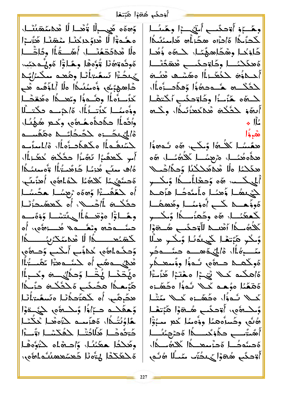وُهِهَمْ هَيِبٍ أَلَّا تُوْسَلِ لَلْهُ هَٰذَا مُفْسَنَا. محْـووْۤا لُا مْدوَحرِحْنَـا عْمَقْنَـا هَتَّتَّرَا هلًا هُدْكُخْعُنْـــا، أُهَّـــةُ أَا وكَاخْــــا هُوِثُوبُوهُ لَا وُوُوهُا وِهُـاوُۢا هُولُـوحَمِّب. جُعجُةًا تَسمُّتِدَاْتَيَا وِهُجِمَّةَ سَكَّيْرَاشَةَ صَّاهِمْ بَمَّى وَّەممُنُىمَّا ەلَّا ٱلْمَوَّقَى هُب كَنُسِيرُه أَل وهُسوؤًا ومُعسِمًا وهُدَّهْسًا وؤْهِ مُساحَدٌ تَسْرُلُهُ وَأَحْرَسِهِ حَكَّتِكُمْ واُثْمَلُّا حِكْمَهْ هُوهُ وِكُم هُوُنُـا. ةالمُبْتَسِنَ لِمَشْتُلِسُمْ وهَفَسِيم لكمُبْعَثُ أَلَّا مِكْعَمُّصِزُّهِ أَلَّا وَالْمِيزَجِعِ أَس كَعفَسُرًا نَهَّنُوا حثَكَّة يُع*كَ*زِيلًا. ەُ/ھ مىگ ھُزىُـا كَاهُمَةُاُ قُومِىلَىد هَ حِسْمَةٌ مِنْ الْمَالِمُ الْمَرْسَفَةِ مِنْ الْمَرْسَفَةِ. أَه لِلْمُفَسَّنُّ أَوْهَهُه رُهِمُساً هَشَمْساً حثَكُ فَ أَاضْهَلا : أَو كُعِثْمُحِزُنْهِ وحسوة في المستشرر الْمُصْبَحَة واتَّى الْمُسْمَّمِينَ مِنْ الْمَسْمَعِينَ مِنْ الْمَسْمَعِينَ مِنْ حسَّـــه حُـره ۖ وتَعمُّــــه لا يُحــــزهُّ ي: أه كقئعـــــكا لُا مْحمـّـكْرُنْـــــكُا وُحثُماهُ) لُدْفَبِ أَسْكَبِ وَحِسْهُ) الْمَهْلِ حَمْلِهِ أَنْ مَسْتَدْمَةٍ مِنْ الْمَمْسَنُوْلَمْ هيُدَحْكُمْ يُرْشُمْ وَحِكْلُهُــ ﴿ وَحَدِيثًا هُبُعِماً مِحْبِئِبٍ مُحْثَكِةٍ حِبْماً هكْرِهُب، أَو خْلِكْتُحِدُّلْنَا وَنُسِعَّبَرَانُلَ وَحفَك دعَ)وُا وُكْلُوهِ لِيَ حَوْدًا هَٰٓاوُنُتُكُّا، هَٰٓفُٓوَمِـهِ كَتَوَهْكَا كَتُكُمْٓا دَّدَّه دْكِر مَحْلادُشْكِي حَدُّمْكِي رَوُّحِيْرًا وهُكِدًا هِعَيْنُا، وَاحِيهْاهِ كَيُوُهِفَا ەَكْݣْݣْݣَا ئْ مْشْمْتْمْتْتْمَارْتُو،

وهَـــزّةِ أَوْحِكَـــهِ أَسْتَيْـــزّا وهَمْنُـــا لَكْحَزُمُا هَادْرَاه هجّزِلُه هَاسئنُمُا كْلُوْكُمْ وْهْكُلْعْمِيْكْمْ. ݣُـْمُهْ وُمُحْلّْ ةهككئـــا وحُاوّدهُـــــــــ مُعْمَدُنْـــا أحباؤه للحُكْزاً وهُسْت مْسُرْه للثَكْـــره حُـــودهُوُّا وُهِــرَه الله الله لِمَدَهُ مِ مُنْسَرًا وِحَاةِحِكَبٍ ٱلْحُتِهَـا أُبِيَّةٍ لِحَمْكُمْ شَمْكُعْزُتُيْهَا. وَكْتُمُو يُأَابُ هْيرُوْ ھىمُسْل كَلُّەدُا وُلِّكَ، ھَء ئەھوْا ھدۇەھئىلىلى تېھنىسا كۈھئىلى ھە هكَكْبًا ولًا مُحْكَكْبًا وَحِدًّاضُــلا لكمحفظ المشام المشام المشترك هُوؤُهِــدْ كُـــبِ أُهوْمُــا وِهُـعْمَــا كْعِفْنُـا. 50 وحُمْزُـــدًا وُلْـــب كَلاُهُ كُلّا آمْصِـــدْ الْأَوْحـكُـــــى هُـــوْوْا وَْحُرِ هَبَّتُمَّا كَهِيشَا وَحَكَّرٍ هَـلَّا مَكَّرَهُ أَنْ ثَمَّ إِذْ مَا أَمَّةٍ مِنْ مَسْتَدَمَّةٍ مِنْ مَسْتَدَمَّةٍ مِنْ مَسْتَدَمَّةٍ مِنْ هُوكُمِـدْ حَــِهُّى شُـهؤُا وِؤْمِعْــدُّرِ كَاهِكُمْ كَمِلاً نُهْرًا مِمْتَمْ! هَٰذُمْ أَنْ هُقْعُمُا هُوُهِدْ كُلُّلْ شُووًّا هَكُهُـزَه كَمِلًا شُودًا، وَجَهَّزَهِ كَمِيلًا مَنْشَا وُكِدْوُهِ: أُوْحِكُبِ هُــوَوْا هَبُتِهْـا هُنَّهِ وِحُسِرُهِهَا وِؤُهِمًا كُمْ سَبُوًّا أَهْبَنُهِـــــــ دَهُوَ كَمــــــدُّا هَ دَرْجِئُنُــــا وَحِيثُوجُها وَحِزْمِعِهِ الْكُلُومُ وَالْمُ أَوْحِكُمِ هُمْقَوْلِي لِحُبُّتِ مَمْسُلًا هُنَّمٍ